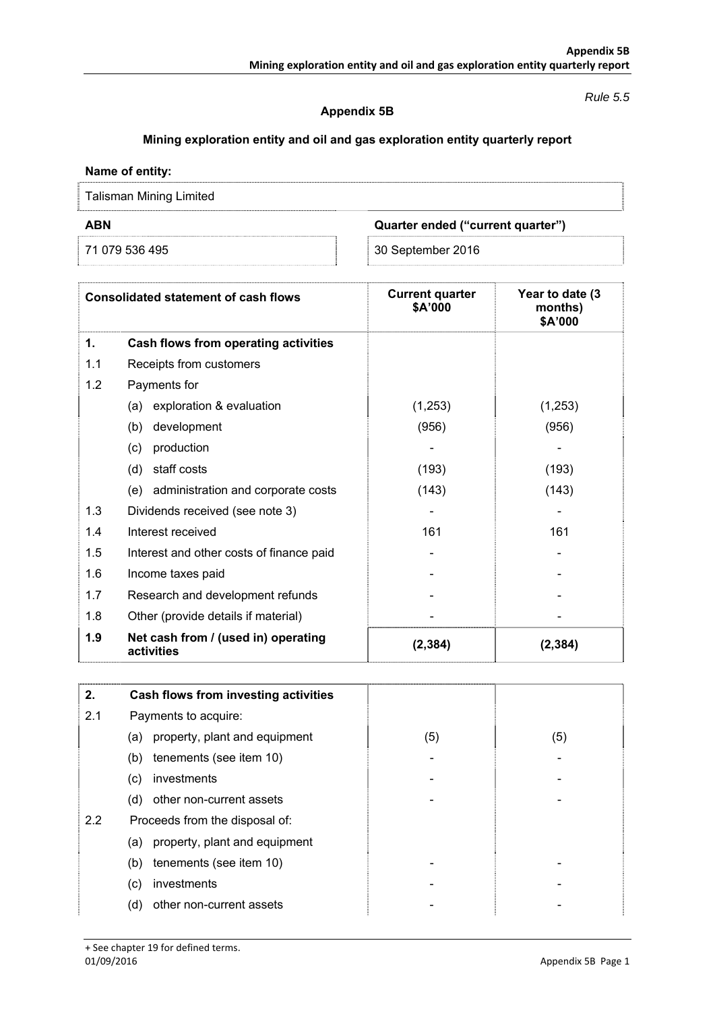### *Rule 5.5*

## **Appendix 5B**

# **Mining exploration entity and oil and gas exploration entity quarterly report**

### **Name of entity:**

Talisman Mining Limited

**ABN Quarter ended ("current quarter")** 

71 079 536 495 30 September 2016

| <b>Consolidated statement of cash flows</b> |                                                   | <b>Current quarter</b><br>\$A'000 | Year to date (3)<br>months)<br>\$A'000 |
|---------------------------------------------|---------------------------------------------------|-----------------------------------|----------------------------------------|
| 1.                                          | Cash flows from operating activities              |                                   |                                        |
| 1.1                                         | Receipts from customers                           |                                   |                                        |
| 1.2                                         | Payments for                                      |                                   |                                        |
|                                             | exploration & evaluation<br>(a)                   | (1,253)                           | (1,253)                                |
|                                             | (b)<br>development                                | (956)                             | (956)                                  |
|                                             | production<br>(c)                                 |                                   |                                        |
|                                             | (d)<br>staff costs                                | (193)                             | (193)                                  |
|                                             | administration and corporate costs<br>(e)         | (143)                             | (143)                                  |
| 1.3                                         | Dividends received (see note 3)                   |                                   |                                        |
| 1.4                                         | Interest received                                 | 161                               | 161                                    |
| 1.5                                         | Interest and other costs of finance paid          |                                   |                                        |
| 1.6                                         | Income taxes paid                                 |                                   |                                        |
| 1.7                                         | Research and development refunds                  |                                   |                                        |
| 1.8                                         | Other (provide details if material)               |                                   |                                        |
| 1.9                                         | Net cash from / (used in) operating<br>activities | (2, 384)                          | (2, 384)                               |

| 2.  | Cash flows from investing activities |     |     |
|-----|--------------------------------------|-----|-----|
| 2.1 | Payments to acquire:                 |     |     |
|     | property, plant and equipment<br>(a) | (5) | (5) |
|     | tenements (see item 10)<br>(b)       |     |     |
|     | investments<br>(c)                   |     |     |
|     | other non-current assets<br>(d)      |     |     |
| 2.2 | Proceeds from the disposal of:       |     |     |
|     | property, plant and equipment<br>(a) |     |     |
|     | tenements (see item 10)<br>(b)       |     |     |
|     | investments<br>(c)                   |     |     |
|     | (d)<br>other non-current assets      |     |     |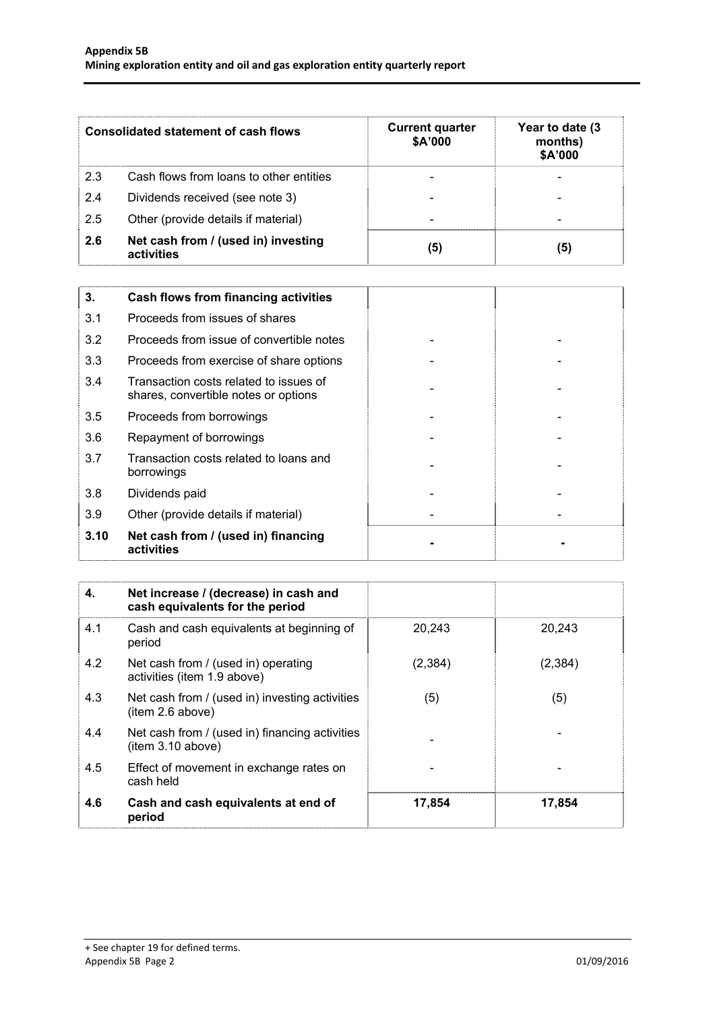| <b>Consolidated statement of cash flows</b> |                                                   | <b>Current quarter</b><br>\$A'000 | Year to date (3<br>months)<br>\$A'000 |
|---------------------------------------------|---------------------------------------------------|-----------------------------------|---------------------------------------|
| 2.3                                         | Cash flows from loans to other entities           |                                   |                                       |
| 2.4                                         | Dividends received (see note 3)                   |                                   |                                       |
| 2.5                                         | Other (provide details if material)               | $\overline{\phantom{0}}$          |                                       |
| 2.6                                         | Net cash from / (used in) investing<br>activities | (5)                               | (5)                                   |

| 3.   | <b>Cash flows from financing activities</b>                                    |  |
|------|--------------------------------------------------------------------------------|--|
| 3.1  | Proceeds from issues of shares                                                 |  |
| 3.2  | Proceeds from issue of convertible notes                                       |  |
| 3.3  | Proceeds from exercise of share options                                        |  |
| 3.4  | Transaction costs related to issues of<br>shares, convertible notes or options |  |
| 3.5  | Proceeds from borrowings                                                       |  |
| 3.6  | Repayment of borrowings                                                        |  |
| 3.7  | Transaction costs related to loans and<br>borrowings                           |  |
| 3.8  | Dividends paid                                                                 |  |
| 3.9  | Other (provide details if material)                                            |  |
| 3.10 | Net cash from / (used in) financing<br>activities                              |  |

| 4.  | Net increase / (decrease) in cash and<br>cash equivalents for the period |                |          |
|-----|--------------------------------------------------------------------------|----------------|----------|
| 4.1 | Cash and cash equivalents at beginning of<br>period                      | 20,243         | 20,243   |
| 4.2 | Net cash from / (used in) operating<br>activities (item 1.9 above)       | (2, 384)       | (2, 384) |
| 4.3 | Net cash from / (used in) investing activities<br>(item 2.6 above)       | (5)            | (5)      |
| 4.4 | Net cash from / (used in) financing activities<br>(item 3.10 above)      | $\blacksquare$ |          |
| 4.5 | Effect of movement in exchange rates on<br>cash held                     | -              |          |
| 4.6 | Cash and cash equivalents at end of<br>period                            | 17,854         | 17,854   |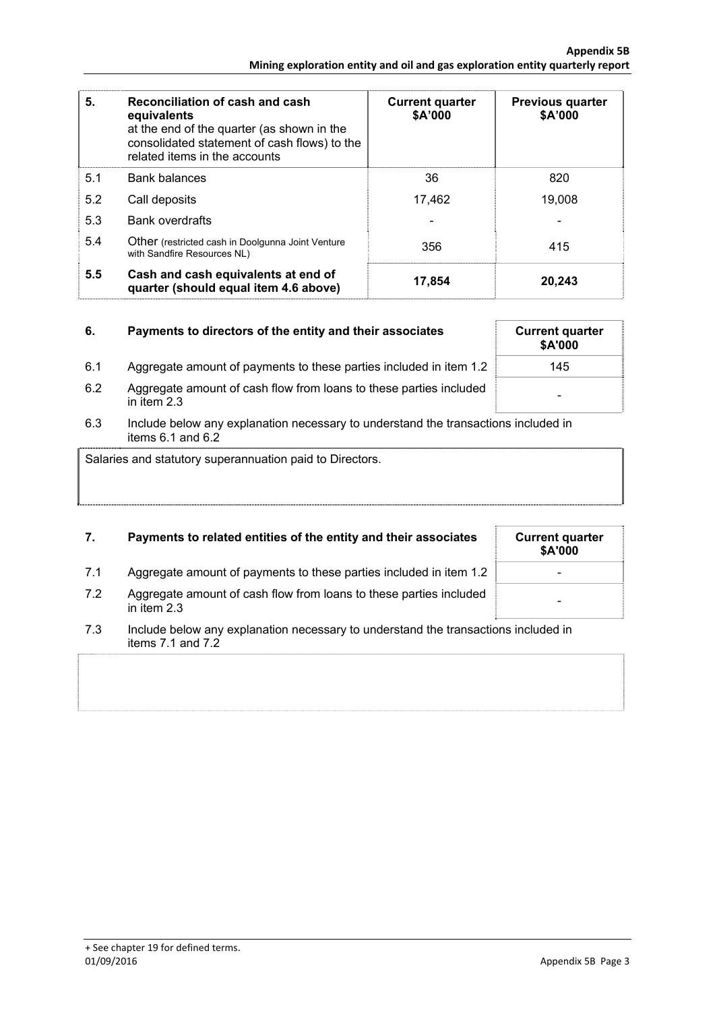| 5.  | Reconciliation of cash and cash<br>equivalents<br>at the end of the quarter (as shown in the<br>consolidated statement of cash flows) to the<br>related items in the accounts | <b>Current quarter</b><br>\$A'000 | <b>Previous quarter</b><br>\$A'000 |
|-----|-------------------------------------------------------------------------------------------------------------------------------------------------------------------------------|-----------------------------------|------------------------------------|
| 5.1 | <b>Bank balances</b>                                                                                                                                                          | 36                                | 820                                |
| 5.2 | Call deposits                                                                                                                                                                 | 17,462                            | 19.008                             |
| 5.3 | <b>Bank overdrafts</b>                                                                                                                                                        |                                   |                                    |
| 5.4 | <b>Other</b> (restricted cash in Doolgunna Joint Venture<br>with Sandfire Resources NL)                                                                                       | 356                               | 415                                |
| 5.5 | Cash and cash equivalents at end of<br>quarter (should equal item 4.6 above)                                                                                                  | 17,854                            | 20,243                             |

| 6.  | Payments to directors of the entity and their associates                            | <b>Current quarter</b><br>\$A'000 |
|-----|-------------------------------------------------------------------------------------|-----------------------------------|
| 6.1 | Aggregate amount of payments to these parties included in item 1.2                  | 145                               |
| 6.2 | Aggregate amount of cash flow from loans to these parties included<br>in item $2.3$ | -                                 |

6.3 Include below any explanation necessary to understand the transactions included in items  $6.1$  and  $6.2$ 

Salaries and statutory superannuation paid to Directors.

# **7.** Payments to related entities of the entity and their associates

- 7.1 Aggregate amount of payments to these parties included in item 1.2
- 7.2 Aggregate amount of cash flow from loans to these parties included in item 2.3 -
- 7.3 Include below any explanation necessary to understand the transactions included in items 7.1 and 7.2

| <b>Current quarter</b><br>\$A'000 |  |
|-----------------------------------|--|
|                                   |  |
|                                   |  |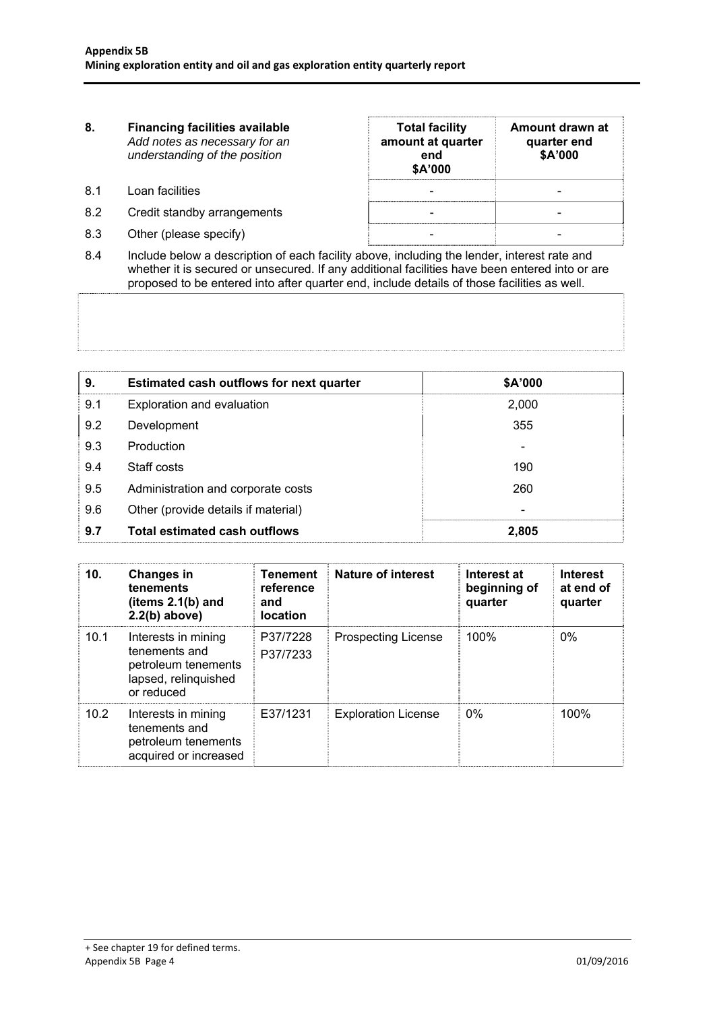| 8.  | <b>Financing facilities available</b><br>Add notes as necessary for an<br>understanding of the position | <b>Total facility</b><br>amount at quarter<br>end<br>\$A'000 | Amount drawn at<br>quarter end<br>\$A'000 |
|-----|---------------------------------------------------------------------------------------------------------|--------------------------------------------------------------|-------------------------------------------|
| 8.1 | Loan facilities                                                                                         | $\overline{\phantom{0}}$                                     |                                           |
| 8.2 | Credit standby arrangements                                                                             |                                                              |                                           |
| 8.3 | Other (please specify)                                                                                  |                                                              |                                           |

8.4 Include below a description of each facility above, including the lender, interest rate and whether it is secured or unsecured. If any additional facilities have been entered into or are proposed to be entered into after quarter end, include details of those facilities as well.

| 9.  | Estimated cash outflows for next quarter | \$A'000 |
|-----|------------------------------------------|---------|
| 9.1 | Exploration and evaluation               | 2,000   |
| 9.2 | Development                              | 355     |
| 9.3 | Production                               |         |
| 9.4 | Staff costs                              | 190     |
| 9.5 | Administration and corporate costs       | 260     |
| 9.6 | Other (provide details if material)      |         |
| 9.7 | <b>Total estimated cash outflows</b>     | 2,805   |

| 10.  | <b>Changes in</b><br>tenements<br>(items $2.1(b)$ and<br>$2.2(b)$ above)                          | <b>Tenement</b><br>reference<br>and<br><b>location</b> | Nature of interest         | Interest at<br>beginning of<br>quarter | <b>Interest</b><br>at end of<br>quarter |
|------|---------------------------------------------------------------------------------------------------|--------------------------------------------------------|----------------------------|----------------------------------------|-----------------------------------------|
| 10.1 | Interests in mining<br>tenements and<br>petroleum tenements<br>lapsed, relinquished<br>or reduced | P37/7228<br>P37/7233                                   | <b>Prospecting License</b> | 100%                                   | $0\%$                                   |
| 10.2 | Interests in mining<br>tenements and<br>petroleum tenements<br>acquired or increased              | E37/1231                                               | <b>Exploration License</b> | $0\%$                                  | 100%                                    |